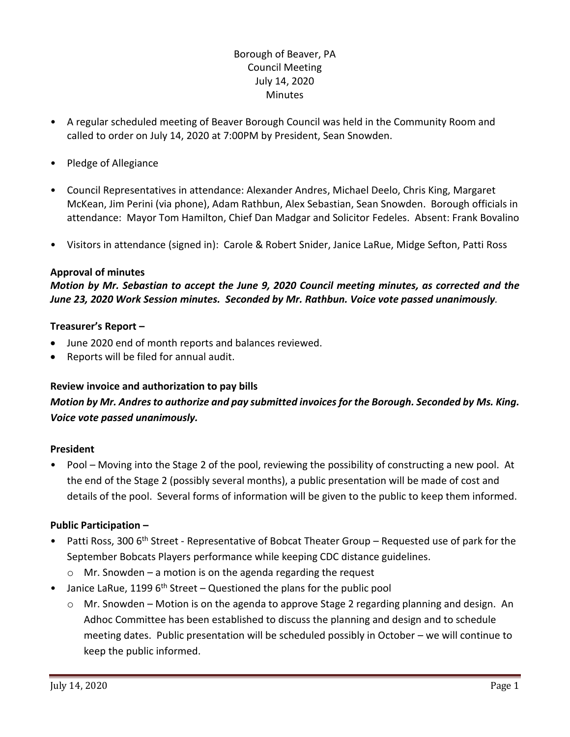## Borough of Beaver, PA Council Meeting July 14, 2020 **Minutes**

- A regular scheduled meeting of Beaver Borough Council was held in the Community Room and called to order on July 14, 2020 at 7:00PM by President, Sean Snowden.
- Pledge of Allegiance
- Council Representatives in attendance: Alexander Andres, Michael Deelo, Chris King, Margaret McKean, Jim Perini (via phone), Adam Rathbun, Alex Sebastian, Sean Snowden. Borough officials in attendance: Mayor Tom Hamilton, Chief Dan Madgar and Solicitor Fedeles. Absent: Frank Bovalino
- Visitors in attendance (signed in): Carole & Robert Snider, Janice LaRue, Midge Sefton, Patti Ross

### **Approval of minutes**

*Motion by Mr. Sebastian to accept the June 9, 2020 Council meeting minutes, as corrected and the June 23, 2020 Work Session minutes. Seconded by Mr. Rathbun. Voice vote passed unanimously.* 

### **Treasurer's Report –**

- June 2020 end of month reports and balances reviewed.
- Reports will be filed for annual audit.

### **Review invoice and authorization to pay bills**

# *Motion by Mr. Andresto authorize and pay submitted invoices for the Borough. Seconded by Ms. King. Voice vote passed unanimously.*

### **President**

• Pool – Moving into the Stage 2 of the pool, reviewing the possibility of constructing a new pool. At the end of the Stage 2 (possibly several months), a public presentation will be made of cost and details of the pool. Several forms of information will be given to the public to keep them informed.

### **Public Participation –**

- Patti Ross, 300 6<sup>th</sup> Street Representative of Bobcat Theater Group Requested use of park for the September Bobcats Players performance while keeping CDC distance guidelines.
	- $\circ$  Mr. Snowden a motion is on the agenda regarding the request
- Janice LaRue, 1199  $6<sup>th</sup>$  Street Questioned the plans for the public pool
	- o Mr. Snowden Motion is on the agenda to approve Stage 2 regarding planning and design. An Adhoc Committee has been established to discuss the planning and design and to schedule meeting dates. Public presentation will be scheduled possibly in October – we will continue to keep the public informed.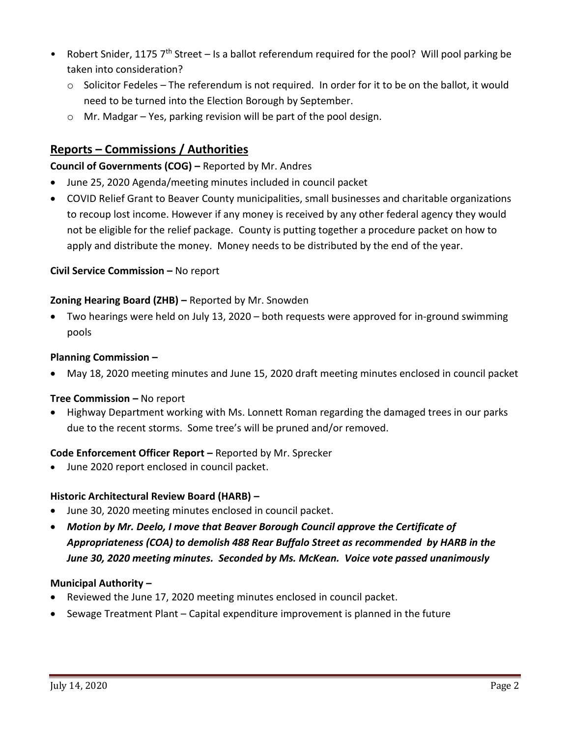- Robert Snider, 1175  $7<sup>th</sup>$  Street Is a ballot referendum required for the pool? Will pool parking be taken into consideration?
	- $\circ$  Solicitor Fedeles The referendum is not required. In order for it to be on the ballot, it would need to be turned into the Election Borough by September.
	- o Mr. Madgar Yes, parking revision will be part of the pool design.

# **Reports – Commissions / Authorities**

## **Council of Governments (COG) –** Reported by Mr. Andres

- June 25, 2020 Agenda/meeting minutes included in council packet
- COVID Relief Grant to Beaver County municipalities, small businesses and charitable organizations to recoup lost income. However if any money is received by any other federal agency they would not be eligible for the relief package. County is putting together a procedure packet on how to apply and distribute the money. Money needs to be distributed by the end of the year.

## **Civil Service Commission - No report**

## **Zoning Hearing Board (ZHB) –** Reported by Mr. Snowden

 Two hearings were held on July 13, 2020 – both requests were approved for in-ground swimming pools

## **Planning Commission –**

May 18, 2020 meeting minutes and June 15, 2020 draft meeting minutes enclosed in council packet

## **Tree Commission –** No report

 Highway Department working with Ms. Lonnett Roman regarding the damaged trees in our parks due to the recent storms. Some tree's will be pruned and/or removed.

### **Code Enforcement Officer Report –** Reported by Mr. Sprecker

June 2020 report enclosed in council packet.

## **Historic Architectural Review Board (HARB) –**

- June 30, 2020 meeting minutes enclosed in council packet.
- *Motion by Mr. Deelo, I move that Beaver Borough Council approve the Certificate of Appropriateness (COA) to demolish 488 Rear Buffalo Street as recommended by HARB in the June 30, 2020 meeting minutes. Seconded by Ms. McKean. Voice vote passed unanimously*

### **Municipal Authority –**

- Reviewed the June 17, 2020 meeting minutes enclosed in council packet.
- Sewage Treatment Plant Capital expenditure improvement is planned in the future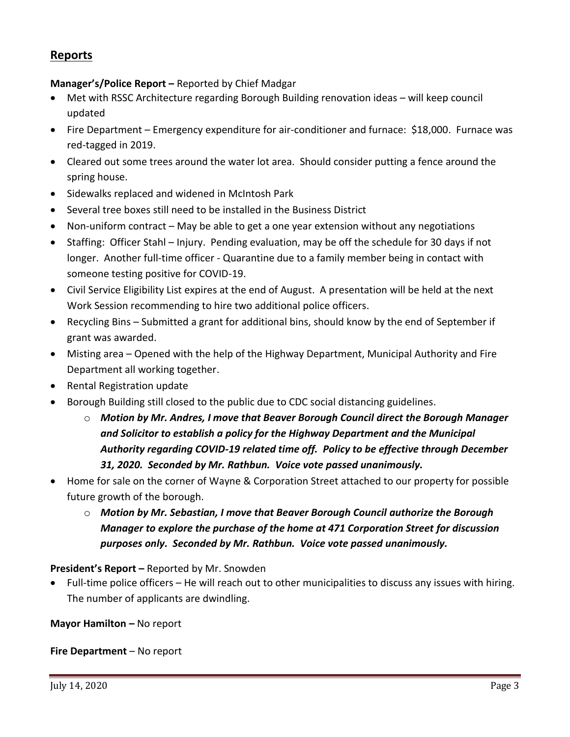## **Reports**

# **Manager's/Police Report –** Reported by Chief Madgar

- Met with RSSC Architecture regarding Borough Building renovation ideas will keep council updated
- Fire Department Emergency expenditure for air-conditioner and furnace: \$18,000. Furnace was red-tagged in 2019.
- Cleared out some trees around the water lot area. Should consider putting a fence around the spring house.
- Sidewalks replaced and widened in McIntosh Park
- Several tree boxes still need to be installed in the Business District
- Non-uniform contract May be able to get a one year extension without any negotiations
- Staffing: Officer Stahl Injury. Pending evaluation, may be off the schedule for 30 days if not longer. Another full-time officer - Quarantine due to a family member being in contact with someone testing positive for COVID-19.
- Civil Service Eligibility List expires at the end of August. A presentation will be held at the next Work Session recommending to hire two additional police officers.
- Recycling Bins Submitted a grant for additional bins, should know by the end of September if grant was awarded.
- Misting area Opened with the help of the Highway Department, Municipal Authority and Fire Department all working together.
- Rental Registration update
- **•** Borough Building still closed to the public due to CDC social distancing guidelines.
	- o *Motion by Mr. Andres, I move that Beaver Borough Council direct the Borough Manager and Solicitor to establish a policy for the Highway Department and the Municipal Authority regarding COVID-19 related time off. Policy to be effective through December 31, 2020. Seconded by Mr. Rathbun. Voice vote passed unanimously.*
- Home for sale on the corner of Wayne & Corporation Street attached to our property for possible future growth of the borough.
	- o *Motion by Mr. Sebastian, I move that Beaver Borough Council authorize the Borough Manager to explore the purchase of the home at 471 Corporation Street for discussion purposes only. Seconded by Mr. Rathbun. Voice vote passed unanimously.*

**President's Report –** Reported by Mr. Snowden

 Full-time police officers – He will reach out to other municipalities to discuss any issues with hiring. The number of applicants are dwindling.

**Mayor Hamilton – No report** 

**Fire Department** – No report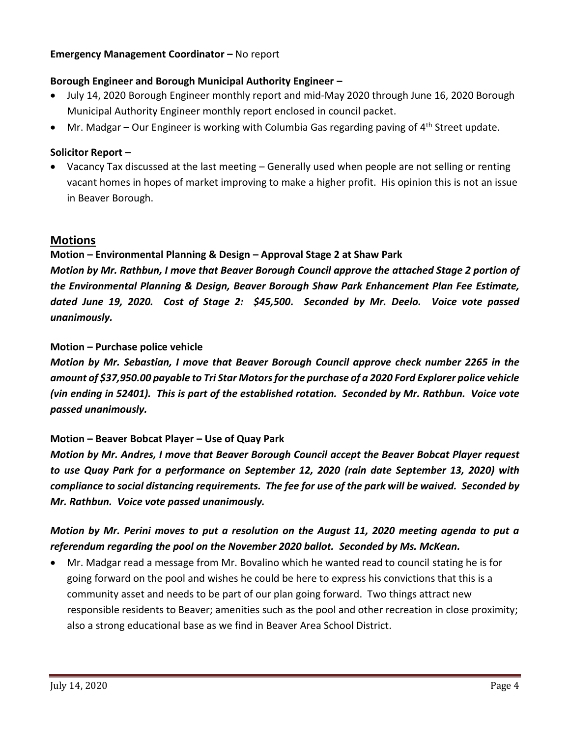### **Emergency Management Coordinator –** No report

## **Borough Engineer and Borough Municipal Authority Engineer –**

- July 14, 2020 Borough Engineer monthly report and mid-May 2020 through June 16, 2020 Borough Municipal Authority Engineer monthly report enclosed in council packet.
- Mr. Madgar Our Engineer is working with Columbia Gas regarding paving of 4<sup>th</sup> Street update.

## **Solicitor Report –**

 Vacancy Tax discussed at the last meeting – Generally used when people are not selling or renting vacant homes in hopes of market improving to make a higher profit. His opinion this is not an issue in Beaver Borough.

## **Motions**

## **Motion – Environmental Planning & Design – Approval Stage 2 at Shaw Park**

*Motion by Mr. Rathbun, I move that Beaver Borough Council approve the attached Stage 2 portion of the Environmental Planning & Design, Beaver Borough Shaw Park Enhancement Plan Fee Estimate, dated June 19, 2020. Cost of Stage 2: \$45,500. Seconded by Mr. Deelo. Voice vote passed unanimously.*

## **Motion – Purchase police vehicle**

*Motion by Mr. Sebastian, I move that Beaver Borough Council approve check number 2265 in the amount of \$37,950.00 payable to Tri Star Motors for the purchase of a 2020 Ford Explorer police vehicle (vin ending in 52401). This is part of the established rotation. Seconded by Mr. Rathbun. Voice vote passed unanimously.*

### **Motion – Beaver Bobcat Player – Use of Quay Park**

*Motion by Mr. Andres, I move that Beaver Borough Council accept the Beaver Bobcat Player request to use Quay Park for a performance on September 12, 2020 (rain date September 13, 2020) with compliance to social distancing requirements. The fee for use of the park will be waived. Seconded by Mr. Rathbun. Voice vote passed unanimously.*

# *Motion by Mr. Perini moves to put a resolution on the August 11, 2020 meeting agenda to put a referendum regarding the pool on the November 2020 ballot. Seconded by Ms. McKean.*

 Mr. Madgar read a message from Mr. Bovalino which he wanted read to council stating he is for going forward on the pool and wishes he could be here to express his convictions that this is a community asset and needs to be part of our plan going forward. Two things attract new responsible residents to Beaver; amenities such as the pool and other recreation in close proximity; also a strong educational base as we find in Beaver Area School District.